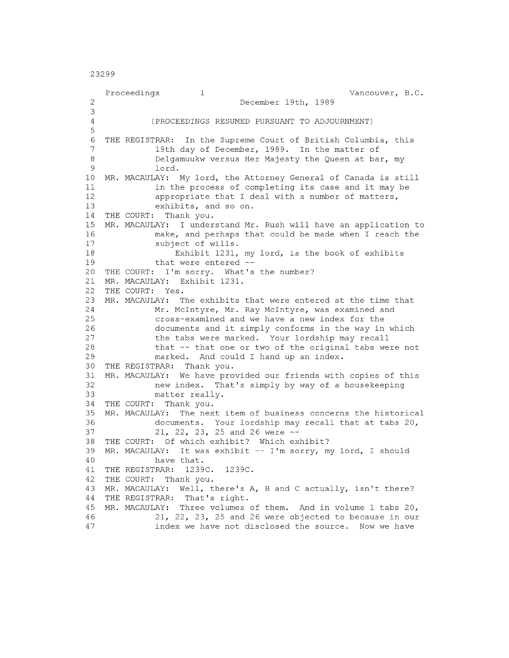2 3 4 5 6 7 8 9 10 11 12 13 14 15 MR. MACAULAY: I understand Mr. Rush will have an application to 16 17 18 19 20 21 22 23 MR. MACAULAY: The exhibits that were entered at the time that 24 25 26 27 28 29 30 THE REGISTRAR: Thank you. 31 MR. MACAULAY: We have provided our friends with copies of this 32 33 34 35 36 37 38 THE COURT: Of which exhibit? Which exhibit? 39 MR. MACAULAY: It was exhibit -- I'm sorry, my lord, I should 40 41 THE REGISTRAR: 1239C. 1239C. 42 43 MR. MACAULAY: Well, there's A, B and C actually, isn't there? 44 THE REGISTRAR: That's right. 45 MR. MACAULAY: Three volumes of them. And in volume 1 tabs 20, 46 47 THE REGISTRAR: In the Supreme Court of British Columbia, this MR. MACAULAY: My lord, the Attorney General of Canada is still THE COURT: Thank you. THE COURT: I'm sorry. What's the number? MR. MACAULAY: Exhibit 1231. THE COURT: Yes. THE COURT: Thank you. MR. MACAULAY: The next item of business concerns the historical THE COURT: Thank you. Proceedings 1 1 Vancouver, B.C. December 19th, 1989 (PROCEEDINGS RESUMED PURSUANT TO ADJOURNMENT) 19th day of December, 1989. In the matter of Delgamuukw versus Her Majesty the Queen at bar, my lord. in the process of completing its case and it may be appropriate that I deal with a number of matters, exhibits, and so on. make, and perhaps that could be made when I reach the subject of wills. Exhibit 1231, my lord, is the book of exhibits that were entered -- Mr. McIntyre, Mr. Ray McIntyre, was examined and cross-examined and we have a new index for the documents and it simply conforms in the way in which the tabs were marked. Your lordship may recall that -- that one or two of the original tabs were not marked. And could I hand up an index. new index. That's simply by way of a housekeeping matter really. documents. Your lordship may recall that at tabs 20, 21, 22, 23, 25 and 26 were - have that. 21, 22, 23, 25 and 26 were objected to because in our index we have not disclosed the source. Now we have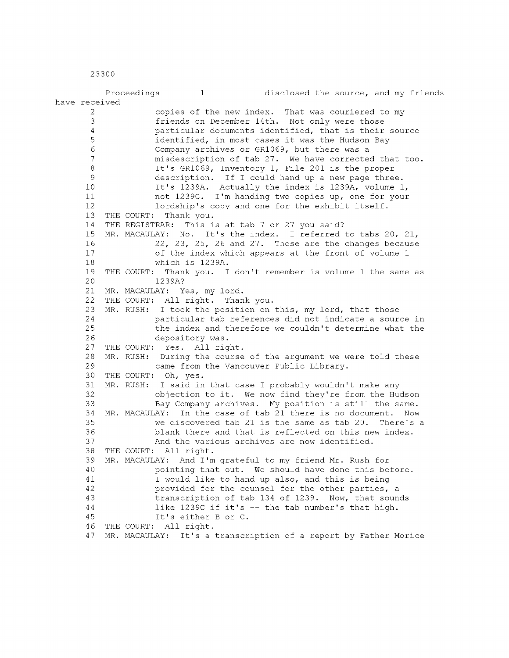|                 | Proceedings<br>$\mathbf{1}$<br>disclosed the source, and my friends |
|-----------------|---------------------------------------------------------------------|
| have received   |                                                                     |
| 2               | copies of the new index. That was couriered to my                   |
| 3               | friends on December 14th. Not only were those                       |
| 4               | particular documents identified, that is their source               |
| 5               | identified, in most cases it was the Hudson Bay                     |
| 6               | Company archives or GR1069, but there was a                         |
| $\overline{7}$  | misdescription of tab 27. We have corrected that too.               |
| $^{\circ}$      | It's GR1069, Inventory 1, File 201 is the proper                    |
| 9               | description. If I could hand up a new page three.                   |
| 10 <sub>1</sub> | It's 1239A. Actually the index is 1239A, volume 1,                  |
| 11              | not 1239C. I'm handing two copies up, one for your                  |
| 12              | lordship's copy and one for the exhibit itself.                     |
| 13              | Thank you.<br>THE COURT:                                            |
| 14              | THE REGISTRAR:<br>This is at tab 7 or 27 you said?                  |
| 15              | MR. MACAULAY: No. It's the index. I referred to tabs 20, 21,        |
| 16              | 22, 23, 25, 26 and 27. Those are the changes because                |
| 17              | of the index which appears at the front of volume 1                 |
| 18              | which is 1239A.                                                     |
| 19              | Thank you. I don't remember is volume 1 the same as<br>THE COURT:   |
| 20              | 1239A?                                                              |
| 21              | MR. MACAULAY: Yes, my lord.                                         |
| 22              | THE COURT: All right.<br>Thank you.                                 |
| 23              | MR. RUSH: I took the position on this, my lord, that those          |
| 24              | particular tab references did not indicate a source in              |
| 25              | the index and therefore we couldn't determine what the              |
| 26              | depository was.                                                     |
| 27              | THE COURT: Yes. All right.                                          |
| 28              | During the course of the argument we were told these<br>MR. RUSH:   |
| 29              | came from the Vancouver Public Library.                             |
| 30              | THE COURT: Oh, yes.                                                 |
| 31              | I said in that case I probably wouldn't make any<br>MR. RUSH:       |
| 32              | objection to it. We now find they're from the Hudson                |
| 33              | Bay Company archives. My position is still the same.                |
| 34              | In the case of tab 21 there is no document. Now<br>MR. MACAULAY:    |
| 35              | we discovered tab 21 is the same as tab 20.<br>There's a            |
| 36              | blank there and that is reflected on this new index.                |
| 37              | And the various archives are now identified.                        |
| 38              | THE COURT: All right.                                               |
| 39              | MR. MACAULAY: And I'm grateful to my friend Mr. Rush for            |
| 40              | pointing that out. We should have done this before.                 |
| 41              | I would like to hand up also, and this is being                     |
| 42              | provided for the counsel for the other parties, a                   |
| 43              | transcription of tab 134 of 1239. Now, that sounds                  |
| 44              | like 1239C if it's -- the tab number's that high.                   |
| 45              | It's either B or C.                                                 |
| 46              | THE COURT: All right.                                               |
| 47              | MR. MACAULAY: It's a transcription of a report by Father Morice     |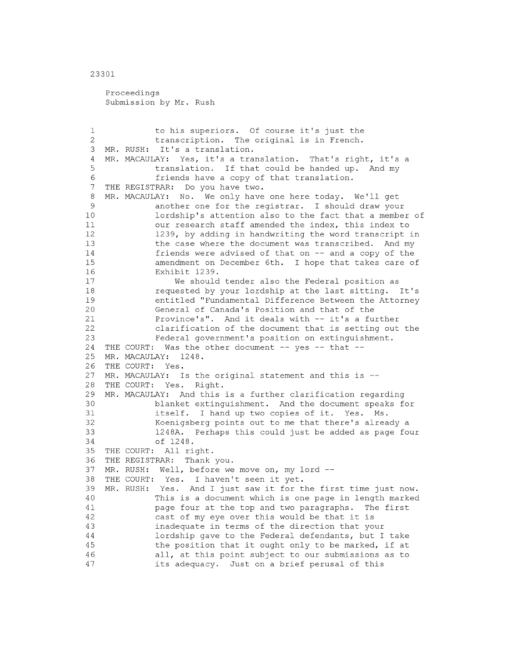Proceedings Submission by Mr. Rush 1 to his superiors. Of course it's just the 2 transcription. The original is in French. 3 MR. RUSH: It's a translation. 4 MR. MACAULAY: Yes, it's a translation. That's right, it's a 5 translation. If that could be handed up. And my 6 friends have a copy of that translation. 7 THE REGISTRAR: Do you have two. 8 MR. MACAULAY: No. We only have one here today. We'll get 9 another one for the registrar. I should draw your 10 lordship's attention also to the fact that a member of 11 our research staff amended the index, this index to 12 1239, by adding in handwriting the word transcript in 13 the case where the document was transcribed. And my 14 friends were advised of that on -- and a copy of the 15 amendment on December 6th. I hope that takes care of 16 Exhibit 1239. 17 We should tender also the Federal position as 18 **requested by your lordship at the last sitting.** It's 19 entitled "Fundamental Difference Between the Attorney 20 General of Canada's Position and that of the 21 Province's". And it deals with -- it's a further 22 clarification of the document that is setting out the 23 Federal government's position on extinguishment. 24 THE COURT: Was the other document -- yes -- that --25 MR. MACAULAY: 1248. 26 THE COURT: Yes. 27 MR. MACAULAY: Is the original statement and this is — 28 THE COURT: Yes. Right. 29 MR. MACAULAY: And this is a further clarification regarding 30 blanket extinguishment. And the document speaks for 31 itself. I hand up two copies of it. Yes. Ms. 32 Koenigsberg points out to me that there's already a 33 1248A. Perhaps this could just be added as page four 34 of 1248. 35 THE COURT: All right. 36 THE REGISTRAR: Thank you. 37 MR. RUSH: Well, before we move on, my lord -- 38 THE COURT: Yes. I haven't seen it yet. 39 MR. RUSH: Yes. And I just saw it for the first time just now. 40 This is a document which is one page in length marked 41 page four at the top and two paragraphs. The first 42 cast of my eye over this would be that it is 43 inadequate in terms of the direction that your 44 lordship gave to the Federal defendants, but I take 45 the position that it ought only to be marked, if at 46 all, at this point subject to our submissions as to 47 its adequacy. Just on a brief perusal of this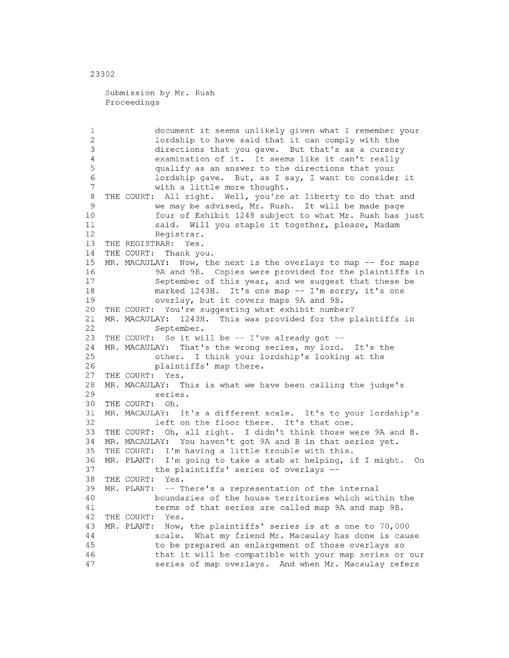```
Submission by Mr. Rush 
Proceedings
```
1 document it seems unlikely given what I remember your 2 lordship to have said that it can comply with the 3 directions that you gave. But that's as a cursory 4 examination of it. It seems like it can't really 5 qualify as an answer to the directions that your 6 lordship gave. But, as I say, I want to consider it 7 with a little more thought. 8 THE COURT: All right. Well, you're at liberty to do that and 9 we may be advised, Mr. Rush. It will be made page 10 four of Exhibit 1248 subject to what Mr. Rush has just 11 said. Will you staple it together, please, Madam 12 Registrar. 13 THE REGISTRAR: Yes. 14 THE COURT: Thank you. 15 MR. MACAULAY: Now, the next is the overlays to map -- for maps 16 9A and 9B. Copies were provided for the plaintiffs in 17 September of this year, and we suggest that these be 18 marked 1243H. It's one map -- I'm sorry, it's one 19 overlay, but it covers maps 9A and 9B. 20 THE COURT: You're suggesting what exhibit number? 21 MR. MACAULAY: 1243H. This was provided for the plaintiffs in 22 September. 23 THE COURT: So it will be  $-$ - I've already got  $-$ -24 MR. MACAULAY: That's the wrong series, my lord. It's the 25 other. I think your lordship's looking at the 26 plaintiffs' map there. 27 THE COURT: Yes. 28 MR. MACAULAY: This is what we have been calling the judge's 29 series. 30 THE COURT: Oh. 31 MR. MACAULAY: It's a different scale. It's to your lordship's 32 left on the floor there. It's that one. 33 THE COURT: Oh, all right. I didn't think those were 9A and B. 34 MR. MACAULAY: You haven't got 9A and B in that series yet. 35 THE COURT: I'm having a little trouble with this. 36 MR. PLANT: I'm going to take a stab at helping, if I might. On 37 the plaintiffs' series of overlays --38 THE COURT: Yes. 39 MR. PLANT: — There's a representation of the internal 40 boundaries of the house territories which within the 41 terms of that series are called map 9A and map 9B. 42 THE COURT: Yes. 43 MR. PLANT: Now, the plaintiffs' series is at a one to 70,000 44 scale. What my friend Mr. Macaulay has done is cause 45 to be prepared an enlargement of those overlays so 46 that it will be compatible with your map series or our 47 series of map overlays. And when Mr. Macaulay refers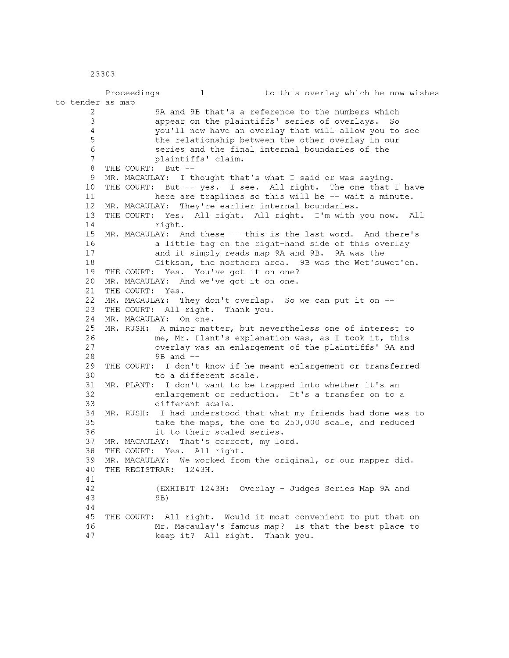Proceedings 1 to this overlay which he now wishes to tender as map 2 9A and 9B that's a reference to the numbers which 3 appear on the plaintiffs' series of overlays. So 4 you'll now have an overlay that will allow you to see 5 the relationship between the other overlay in our 6 series and the final internal boundaries of the 7 plaintiffs' claim. 8 THE COURT: But --9 MR. MACAULAY: I thought that's what I said or was saying. 10 THE COURT: But — yes. I see. All right. The one that I have 11 here are traplines so this will be -- wait a minute. 12 MR. MACAULAY: They're earlier internal boundaries. 13 THE COURT: Yes. All right. All right. I'm with you now. All 14 right. 15 MR. MACAULAY: And these — this is the last word. And there's 16 **a** little tag on the right-hand side of this overlay 17 and it simply reads map 9A and 9B. 9A was the 18 Gitksan, the northern area. 9B was the Wet'suwet'en. 19 THE COURT: Yes. You've got it on one? 20 MR. MACAULAY: And we've got it on one. 21 THE COURT: Yes. 22 MR. MACAULAY: They don't overlap. So we can put it on --23 THE COURT: All right. Thank you. 24 MR. MACAULAY: On one. 25 MR. RUSH: A minor matter, but nevertheless one of interest to 26 me, Mr. Plant's explanation was, as I took it, this 27 overlay was an enlargement of the plaintiffs' 9A and 28 9B and — 29 THE COURT: I don't know if he meant enlargement or transferred 30 to a different scale. 31 MR. PLANT: I don't want to be trapped into whether it's an 32 enlargement or reduction. It's a transfer on to a 33 different scale. 34 MR. RUSH: I had understood that what my friends had done was to 35 take the maps, the one to 250,000 scale, and reduced 36 it to their scaled series. 37 MR. MACAULAY: That's correct, my lord. 38 THE COURT: Yes. All right. 39 MR. MACAULAY: We worked from the original, or our mapper did. 40 THE REGISTRAR: 1243H. 41 42 (EXHIBIT 1243H: Overlay - Judges Series Map 9A and 43 9B) 44 45 THE COURT: All right. Would it most convenient to put that on 46 Mr. Macaulay's famous map? Is that the best place to 47 keep it? All right. Thank you.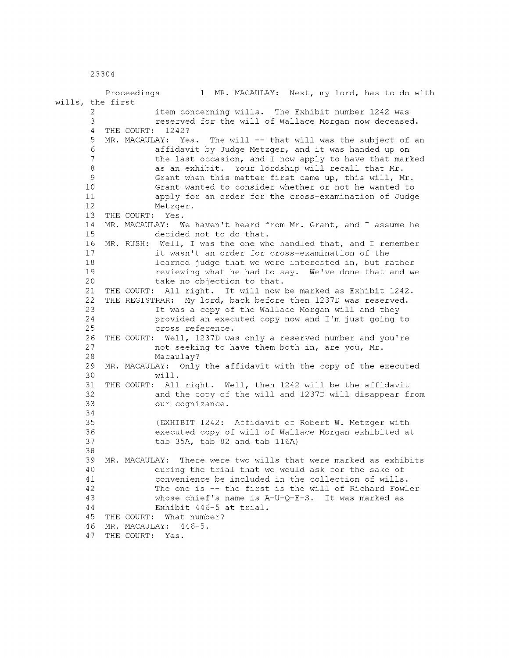|                  | Proceedings<br>1 MR. MACAULAY: Next, my lord, has to do with                                                   |
|------------------|----------------------------------------------------------------------------------------------------------------|
| wills, the first |                                                                                                                |
| 2                | item concerning wills. The Exhibit number 1242 was                                                             |
| 3                | reserved for the will of Wallace Morgan now deceased.                                                          |
| 4                | 1242?<br>THE COURT:                                                                                            |
| 5                | The will -- that will was the subject of an<br>MR. MACAULAY:<br>Yes.                                           |
| 6                | affidavit by Judge Metzger, and it was handed up on                                                            |
| $\overline{7}$   | the last occasion, and I now apply to have that marked                                                         |
| 8                | as an exhibit. Your lordship will recall that Mr.                                                              |
| 9                | Grant when this matter first came up, this will, Mr.                                                           |
| 10               | Grant wanted to consider whether or not he wanted to                                                           |
| 11               | apply for an order for the cross-examination of Judge                                                          |
| 12               | Metzger.                                                                                                       |
| 13               | THE COURT: Yes.                                                                                                |
| 14               | MR. MACAULAY: We haven't heard from Mr. Grant, and I assume he                                                 |
| 15               | decided not to do that.                                                                                        |
| 16               | MR. RUSH: Well, I was the one who handled that, and I remember                                                 |
| 17               | it wasn't an order for cross-examination of the                                                                |
| 18               | learned judge that we were interested in, but rather                                                           |
| 19               | reviewing what he had to say. We've done that and we                                                           |
| 20               | take no objection to that.                                                                                     |
| 21               | THE COURT: All right. It will now be marked as Exhibit 1242.                                                   |
| 22               | THE REGISTRAR: My lord, back before then 1237D was reserved.                                                   |
| 23               | It was a copy of the Wallace Morgan will and they                                                              |
| 24               | provided an executed copy now and I'm just going to                                                            |
| 25<br>26         | cross reference.                                                                                               |
| 27               | THE COURT: Well, 1237D was only a reserved number and you're<br>not seeking to have them both in, are you, Mr. |
| 28               | Macaulay?                                                                                                      |
| 29               | MR. MACAULAY: Only the affidavit with the copy of the executed                                                 |
| 30               | with11.                                                                                                        |
| 31               | THE COURT: All right. Well, then 1242 will be the affidavit                                                    |
| 32               | and the copy of the will and 1237D will disappear from                                                         |
| 33               | our cognizance.                                                                                                |
| 34               |                                                                                                                |
| 35               | (EXHIBIT 1242: Affidavit of Robert W. Metzger with                                                             |
| 36               | executed copy of will of Wallace Morgan exhibited at                                                           |
| 37               | tab 35A, tab 82 and tab 116A)                                                                                  |
| 38               |                                                                                                                |
| 39.              | MR. MACAULAY:<br>There were two wills that were marked as exhibits                                             |
| 40               | during the trial that we would ask for the sake of                                                             |
| 41               | convenience be included in the collection of wills.                                                            |
| 42               | The one is -- the first is the will of Richard Fowler                                                          |
| 43               | whose chief's name is $A-U-Q-E-S$ . It was marked as                                                           |
| 44               | Exhibit 446-5 at trial.                                                                                        |
| 45               | THE COURT: What number?                                                                                        |
| 46               | MR. MACAULAY: 446-5.                                                                                           |
| 47               | THE COURT:<br>Yes.                                                                                             |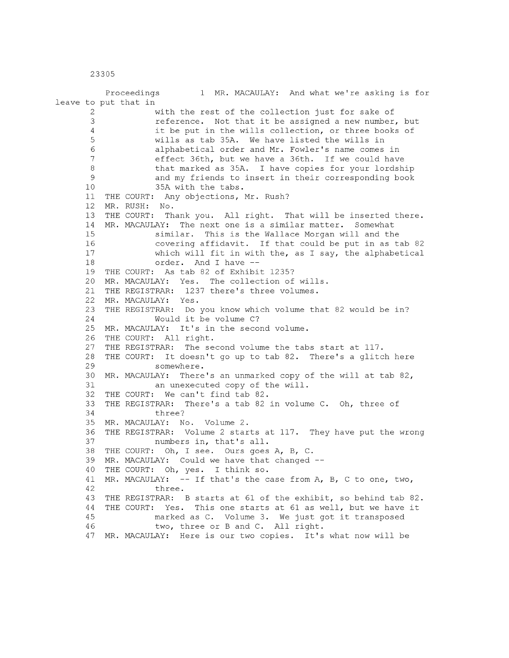Proceedings 1 MR. MACAULAY: And what we're asking is for leave to put that in 2 with the rest of the collection just for sake of 3 reference. Not that it be assigned a new number, but 4 it be put in the wills collection, or three books of 5 wills as tab 35A. We have listed the wills in 6 alphabetical order and Mr. Fowler's name comes in 7 effect 36th, but we have a 36th. If we could have 8 6 that marked as 35A. I have copies for your lordship 9 and my friends to insert in their corresponding book 10 35A with the tabs. 11 THE COURT: Any objections, Mr. Rush? 12 MR. RUSH: No. 13 THE COURT: Thank you. All right. That will be inserted there. 14 MR. MACAULAY: The next one is a similar matter. Somewhat 15 similar. This is the Wallace Morgan will and the 16 covering affidavit. If that could be put in as tab 82 17 which will fit in with the, as I say, the alphabetical 18 order. And I have -- 19 THE COURT: As tab 82 of Exhibit 1235? 20 MR. MACAULAY: Yes. The collection of wills. 21 THE REGISTRAR: 1237 there's three volumes. 22 MR. MACAULAY: Yes. 23 THE REGISTRAR: Do you know which volume that 82 would be in? 24 Would it be volume C? 25 MR. MACAULAY: It's in the second volume. 26 THE COURT: All right. 27 THE REGISTRAR: The second volume the tabs start at 117. 28 THE COURT: It doesn't go up to tab 82. There's a glitch here 29 somewhere. 30 MR. MACAULAY: There's an unmarked copy of the will at tab 82, 31 an unexecuted copy of the will. 32 THE COURT: We can't find tab 82. 33 THE REGISTRAR: There's a tab 82 in volume C. Oh, three of 34 three? 35 MR. MACAULAY: No. Volume 2. 36 THE REGISTRAR: Volume 2 starts at 117. They have put the wrong 37 numbers in, that's all. 38 THE COURT: Oh, I see. Ours goes A, B, C. 39 MR. MACAULAY: Could we have that changed --40 THE COURT: Oh, yes. I think so. 41 MR. MACAULAY: — If that's the case from A, B, C to one, two, 42 three. 43 THE REGISTRAR: B starts at 61 of the exhibit, so behind tab 82. 44 THE COURT: Yes. This one starts at 61 as well, but we have it 45 marked as C. Volume 3. We just got it transposed 46 two, three or B and C. All right. 47 MR. MACAULAY: Here is our two copies. It's what now will be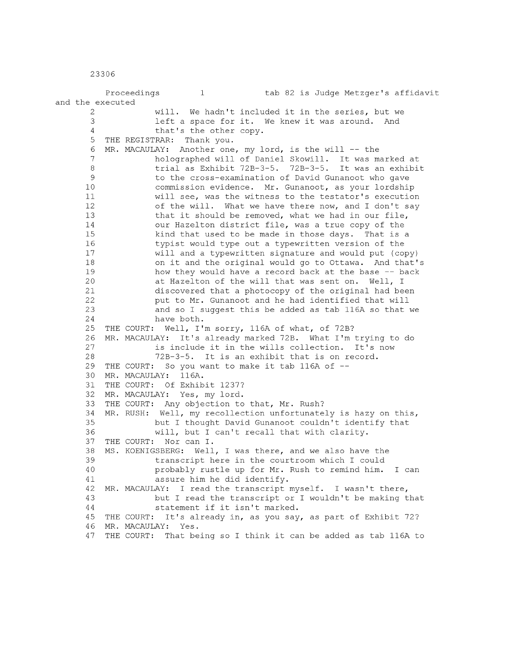|                  | tab 82 is Judge Metzger's affidavit<br>Proceedings<br>$\mathbf{1}$                                                |
|------------------|-------------------------------------------------------------------------------------------------------------------|
| and the executed |                                                                                                                   |
| 2                | will.<br>We hadn't included it in the series, but we                                                              |
| 3                | left a space for it. We knew it was around. And                                                                   |
| $\overline{4}$   | that's the other copy.                                                                                            |
| 5<br>6           | THE REGISTRAR:<br>Thank you.                                                                                      |
| 7                | Another one, my lord, is the will -- the<br>MR. MACAULAY:<br>holographed will of Daniel Skowill. It was marked at |
| 8                | trial as Exhibit 72B-3-5. 72B-3-5. It was an exhibit                                                              |
| 9                | to the cross-examination of David Gunanoot who gave                                                               |
| 10               | commission evidence. Mr. Gunanoot, as your lordship                                                               |
| 11               | will see, was the witness to the testator's execution                                                             |
| 12               | of the will. What we have there now, and I don't say                                                              |
| 13               | that it should be removed, what we had in our file,                                                               |
| 14               | our Hazelton district file, was a true copy of the                                                                |
| 15               | kind that used to be made in those days. That is a                                                                |
| 16               | typist would type out a typewritten version of the                                                                |
| 17               | will and a typewritten signature and would put (copy)                                                             |
| 18               | on it and the original would go to Ottawa. And that's                                                             |
| 19               | how they would have a record back at the base -- back                                                             |
| 20               | at Hazelton of the will that was sent on. Well, I                                                                 |
| 21               | discovered that a photocopy of the original had been                                                              |
| 22               | put to Mr. Gunanoot and he had identified that will                                                               |
| 23               | and so I suggest this be added as tab 116A so that we                                                             |
| 24               | have both.                                                                                                        |
| 25               | THE COURT: Well, I'm sorry, 116A of what, of 72B?                                                                 |
| 26               | MR. MACAULAY: It's already marked 72B. What I'm trying to do                                                      |
| 27               | is include it in the wills collection.<br>It's now                                                                |
| 28               | 72B-3-5. It is an exhibit that is on record.                                                                      |
| 29<br>30         | THE COURT: So you want to make it tab 116A of --<br>MR. MACAULAY:<br>116A.                                        |
| 31               | THE COURT: Of Exhibit 1237?                                                                                       |
| 32               | MR. MACAULAY: Yes, my lord.                                                                                       |
| 33               | THE COURT: Any objection to that, Mr. Rush?                                                                       |
| 34               | MR. RUSH: Well, my recollection unfortunately is hazy on this,                                                    |
| 35               | but I thought David Gunanoot couldn't identify that                                                               |
| 36               | will, but I can't recall that with clarity.                                                                       |
| 37               | THE COURT: Nor can I.                                                                                             |
| 38               | MS. KOENIGSBERG: Well, I was there, and we also have the                                                          |
| 39               | transcript here in the courtroom which I could                                                                    |
| 40               | probably rustle up for Mr. Rush to remind him. I can                                                              |
| 41               | assure him he did identify.                                                                                       |
| 42               | I read the transcript myself. I wasn't there,<br>MR. MACAULAY:                                                    |
| 43               | but I read the transcript or I wouldn't be making that                                                            |
| 44               | statement if it isn't marked.                                                                                     |
| 45               | It's already in, as you say, as part of Exhibit 72?<br>THE COURT:                                                 |
| 46               | MR. MACAULAY:<br>Yes.                                                                                             |
| 47               | That being so I think it can be added as tab 116A to<br>THE COURT:                                                |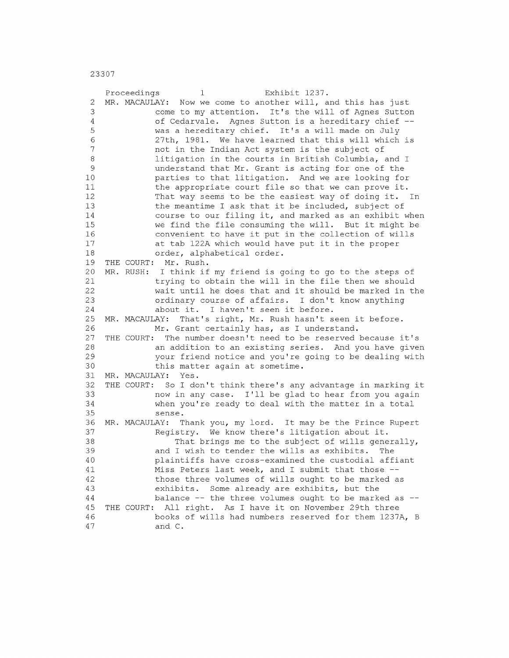|                | Proceedings<br>1<br>Exhibit 1237.                                 |
|----------------|-------------------------------------------------------------------|
| 2              | MR. MACAULAY: Now we come to another will, and this has just      |
| 3              | come to my attention. It's the will of Agnes Sutton               |
| $\overline{4}$ | of Cedarvale. Agnes Sutton is a hereditary chief --               |
| 5              | was a hereditary chief. It's a will made on July                  |
| $\epsilon$     | 27th, 1981. We have learned that this will which is               |
| 7              | not in the Indian Act system is the subject of                    |
| 8              |                                                                   |
|                | litigation in the courts in British Columbia, and I               |
| 9              | understand that Mr. Grant is acting for one of the                |
| 10             | parties to that litigation. And we are looking for                |
| 11             | the appropriate court file so that we can prove it.               |
| 12             | That way seems to be the easiest way of doing it. In              |
| 13             | the meantime I ask that it be included, subject of                |
| 14             | course to our filing it, and marked as an exhibit when            |
| 15             | we find the file consuming the will. But it might be              |
| 16             | convenient to have it put in the collection of wills              |
| 17             | at tab 122A which would have put it in the proper                 |
| 18             | order, alphabetical order.                                        |
| 19             | THE COURT: Mr. Rush.                                              |
| 20             | MR. RUSH: I think if my friend is going to go to the steps of     |
| 21             | trying to obtain the will in the file then we should              |
| 22             | wait until he does that and it should be marked in the            |
| 23             | ordinary course of affairs. I don't know anything                 |
| 24             | about it. I haven't seen it before.                               |
| 25             | MR. MACAULAY: That's right, Mr. Rush hasn't seen it before.       |
| 26             | Mr. Grant certainly has, as I understand.                         |
| 27             | The number doesn't need to be reserved because it's<br>THE COURT: |
|                |                                                                   |
| 28             | an addition to an existing series. And you have given             |
| 29             | your friend notice and you're going to be dealing with            |
| 30             | this matter again at sometime.                                    |
| 31             | MR. MACAULAY:<br>Yes.                                             |
| 32             | THE COURT: So I don't think there's any advantage in marking it   |
| 33             | now in any case. I'll be glad to hear from you again              |
| 34             | when you're ready to deal with the matter in a total              |
| 35             | sense.                                                            |
| 36             | Thank you, my lord. It may be the Prince Rupert<br>MR. MACAULAY:  |
| 37             | Registry. We know there's litigation about it.                    |
| 38             | That brings me to the subject of wills generally,                 |
| 39             | and I wish to tender the wills as exhibits.<br>The                |
| 40             | plaintiffs have cross-examined the custodial affiant              |
| 41             | Miss Peters last week, and I submit that those --                 |
| 42             | those three volumes of wills ought to be marked as                |
| 43             | exhibits. Some already are exhibits, but the                      |
| $4\,4$         | balance -- the three volumes ought to be marked as --             |
| 45             | THE COURT: All right. As I have it on November 29th three         |
| 46             | books of wills had numbers reserved for them 1237A, B             |
| $4\,7$         | and C.                                                            |
|                |                                                                   |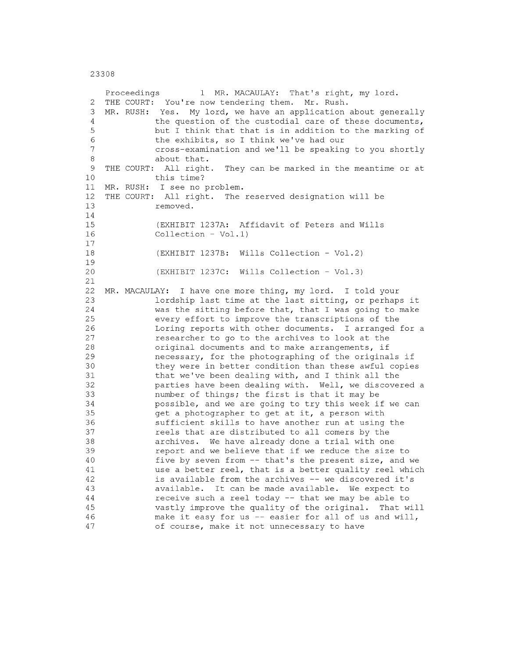2330?

2 THE COURT: You're now tendering them. Mr. Rush. 3 MR. RUSH: Yes. My lord, we have an application about generally 4 5 6 7 8 9 10 11 MR. RUSH: I see no problem. 12 13 14 15 16 17 18 19 20 21 22 MR. MACAULAY: I have one more thing, my lord. I told your 23 24 25 26 27 28 29 30 31 32 33 34 35 36 37 38 39 40 41 42 43 44 45 46 47 Proceedings 1 MR. MACAULAY: That's right, my lord. the question of the custodial care of these documents, but I think that that is in addition to the marking of the exhibits, so I think we've had our cross-examination and we'll be speaking to you shortly about that. THE COURT: All right. They can be marked in the meantime or at this time? THE COURT: All right. The reserved designation will be removed. (EXHIBIT 1237A: Affidavit of Peters and Wills Collection - Vol.1) (EXHIBIT 1237B: Wills Collection - Vol.2) (EXHIBIT 1237C: Wills Collection - Vol.3) lordship last time at the last sitting, or perhaps it was the sitting before that, that I was going to make every effort to improve the transcriptions of the Loring reports with other documents. I arranged for a researcher to go to the archives to look at the original documents and to make arrangements, if necessary, for the photographing of the originals if they were in better condition than these awful copies that we've been dealing with, and I think all the parties have been dealing with. Well, we discovered a number of things; the first is that it may be possible, and we are going to try this week if we can get a photographer to get at it, a person with sufficient skills to have another run at using the reels that are distributed to all comers by the archives. We have already done a trial with one report and we believe that if we reduce the size to five by seven from -- that's the present size, and we use a better reel, that is a better quality reel which is available from the archives -- we discovered it's available. It can be made available. We expect to receive such a reel today -- that we may be able to vastly improve the quality of the original. That will make it easy for us -- easier for all of us and will, of course, make it not unnecessary to have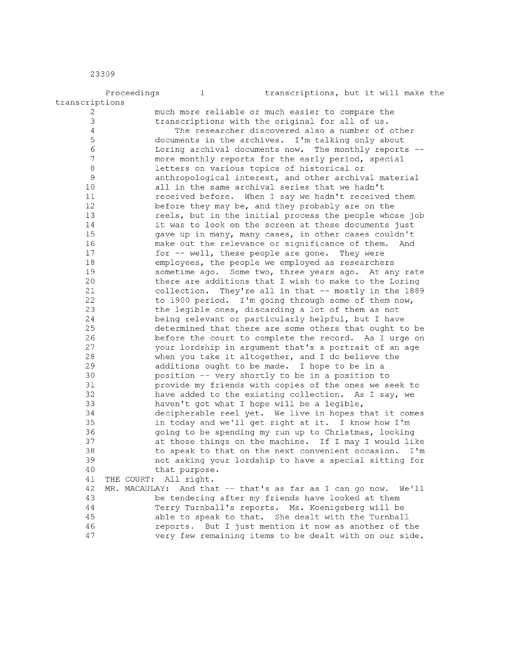|                 | Proceedings   | $\perp$       | transcriptions, but it will make the                     |
|-----------------|---------------|---------------|----------------------------------------------------------|
| transcriptions  |               |               |                                                          |
| 2               |               |               | much more reliable or much easier to compare the         |
| 3               |               |               | transcriptions with the original for all of us.          |
| 4               |               |               | The researcher discovered also a number of other         |
| 5               |               |               | documents in the archives. I'm talking only about        |
| $\epsilon$      |               |               | Loring archival documents now. The monthly reports --    |
| $7\phantom{.0}$ |               |               | more monthly reports for the early period, special       |
| 8               |               |               | letters on various topics of historical or               |
| $\mathsf 9$     |               |               | anthropological interest, and other archival material    |
| 10              |               |               | all in the same archival series that we hadn't           |
| 11              |               |               | received before. When I say we hadn't received them      |
| 12              |               |               | before they may be, and they probably are on the         |
| 13              |               |               | reels, but in the initial process the people whose job   |
| 14              |               |               | it was to look on the screen at these documents just     |
| 15              |               |               |                                                          |
|                 |               |               | gave up in many, many cases, in other cases couldn't     |
| 16              |               |               | make out the relevance or significance of them.<br>And   |
| 17              |               |               | for -- well, these people are gone. They were            |
| 18              |               |               | employees, the people we employed as researchers         |
| 19              |               |               | sometime ago. Some two, three years ago. At any rate     |
| 20              |               |               | there are additions that I wish to make to the Loring    |
| 21              |               |               | collection. They're all in that -- mostly in the 1889    |
| 22              |               |               | to 1900 period. I'm going through some of them now,      |
| 23              |               |               | the legible ones, discarding a lot of them as not        |
| 24              |               |               | being relevant or particularly helpful, but I have       |
| 25              |               |               | determined that there are some others that ought to be   |
| 26              |               |               | before the court to complete the record. As I urge on    |
| 27              |               |               | your lordship in argument that's a portrait of an age    |
| 28              |               |               | when you take it altogether, and I do believe the        |
| 29              |               |               | additions ought to be made. I hope to be in a            |
| 30              |               |               | position -- very shortly to be in a position to          |
| 31              |               |               | provide my friends with copies of the ones we seek to    |
| 32              |               |               | have added to the existing collection. As I say, we      |
| 33              |               |               | haven't got what I hope will be a legible,               |
| 34              |               |               | decipherable reel yet. We live in hopes that it comes    |
| 35              |               |               | in today and we'll get right at it. I know how I'm       |
| 36              |               |               | going to be spending my run up to Christmas, looking     |
| 37              |               |               | at those things on the machine. If I may I would like    |
| 38              |               |               | to speak to that on the next convenient occasion.<br>I'm |
| 39              |               |               | not asking your lordship to have a special sitting for   |
| 40              |               | that purpose. |                                                          |
| 41              | THE COURT:    | All right.    |                                                          |
| 42              | MR. MACAULAY: |               | And that -- that's as far as I can go now.<br>We'll      |
| 43              |               |               | be tendering after my friends have looked at them        |
| 44              |               |               | Terry Turnball's reports. Ms. Koenigsberg will be        |
| 45              |               |               | able to speak to that. She dealt with the Turnball       |
|                 |               |               |                                                          |
| 46              |               |               | reports. But I just mention it now as another of the     |
| 47              |               |               | very few remaining items to be dealt with on our side.   |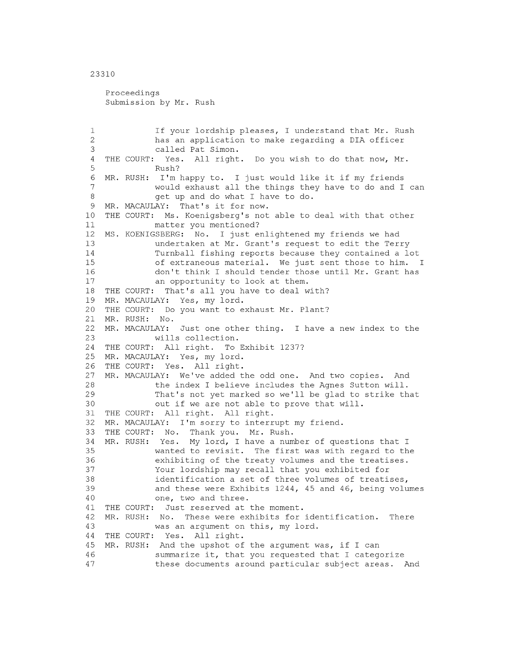```
Proceedings 
   Submission by Mr. Rush 
1 If your lordship pleases, I understand that Mr. Rush 
 2 has an application to make regarding a DIA officer 
 3 called Pat Simon. 
 4 THE COURT: Yes. All right. Do you wish to do that now, Mr. 
5 Rush? 
 6 MR. RUSH: I'm happy to. I just would like it if my friends 
7 would exhaust all the things they have to do and I can 
8 get up and do what I have to do. 
9 MR. MACAULAY: That's it for now. 
10 THE COURT: Ms. Koenigsberg's not able to deal with that other 
11 matter you mentioned? 
12 MS. KOENIGSBERG: No. I just enlightened my friends we had 
13 undertaken at Mr. Grant's request to edit the Terry 
14 Turnball fishing reports because they contained a lot 
15 of extraneous material. We just sent those to him. I 
16 don't think I should tender those until Mr. Grant has 
17 an opportunity to look at them. 
18 THE COURT: That's all you have to deal with? 
19 MR. MACAULAY: Yes, my lord. 
20 THE COURT: Do you want to exhaust Mr. Plant?
21 MR. RUSH: No. 
22 MR. MACAULAY: Just one other thing. I have a new index to the 
23 wills collection. 
24 THE COURT: All right. To Exhibit 1237? 
25 MR. MACAULAY: Yes, my lord.
26 THE COURT: Yes. All right.
27 MR. MACAULAY: We've added the odd one. And two copies. And
28 the index I believe includes the Agnes Sutton will. 
29 That's not yet marked so we'll be glad to strike that 
30 out if we are not able to prove that will. 
31 THE COURT: All right. All right. 
32 MR. MACAULAY: I'm sorry to interrupt my friend. 
33 THE COURT: No. Thank you. Mr. Rush. 
34 MR. RUSH: Yes. My lord, I have a number of questions that I 
35 wanted to revisit. The first was with regard to the 
36 exhibiting of the treaty volumes and the treatises. 
37 Your lordship may recall that you exhibited for 
38 identification a set of three volumes of treatises, 
39 and these were Exhibits 1244, 45 and 46, being volumes 
40 one, two and three. 
41 THE COURT: Just reserved at the moment. 
42 MR. RUSH: No. These were exhibits for identification. There 
43 was an argument on this, my lord. 
44 THE COURT: Yes. All right. 
45 MR. RUSH: And the upshot of the argument was, if I can 
46 summarize it, that you requested that I categorize 
47 these documents around particular subject areas. And
```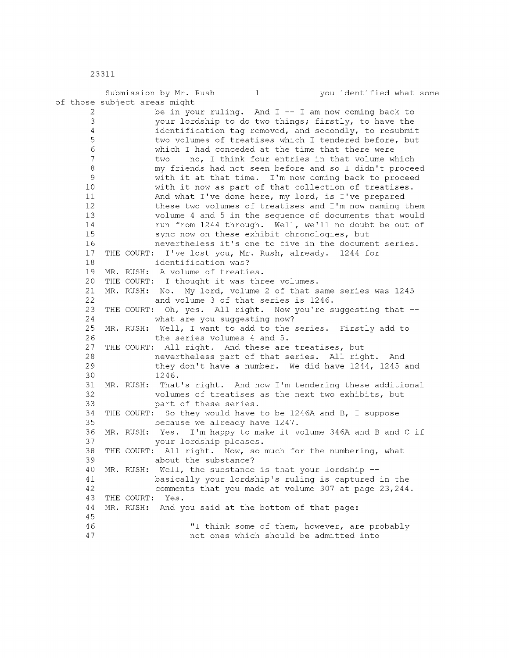|                                                                                                                                                                                                                                                                                                                                                                                                                                                          |                              | Submission by Mr. Rush<br>you identified what some<br>1        |
|----------------------------------------------------------------------------------------------------------------------------------------------------------------------------------------------------------------------------------------------------------------------------------------------------------------------------------------------------------------------------------------------------------------------------------------------------------|------------------------------|----------------------------------------------------------------|
|                                                                                                                                                                                                                                                                                                                                                                                                                                                          | of those subject areas might |                                                                |
| $\mathbf{2}$                                                                                                                                                                                                                                                                                                                                                                                                                                             |                              | be in your ruling. And $I$ -- I am now coming back to          |
| 3                                                                                                                                                                                                                                                                                                                                                                                                                                                        |                              | your lordship to do two things; firstly, to have the           |
| 4                                                                                                                                                                                                                                                                                                                                                                                                                                                        |                              | identification tag removed, and secondly, to resubmit          |
| $\mathbb S$                                                                                                                                                                                                                                                                                                                                                                                                                                              |                              | two volumes of treatises which I tendered before, but          |
| $\epsilon$                                                                                                                                                                                                                                                                                                                                                                                                                                               |                              | which I had conceded at the time that there were               |
| $\overline{7}$                                                                                                                                                                                                                                                                                                                                                                                                                                           |                              | two -- no, I think four entries in that volume which           |
| $\,8\,$                                                                                                                                                                                                                                                                                                                                                                                                                                                  |                              | my friends had not seen before and so I didn't proceed         |
| $\mathsf{S}% _{T}=\mathsf{S}_{T}\!\left( a,b\right) ,\ \mathsf{S}_{T}=\mathsf{S}_{T}\!\left( a,b\right) ,\ \mathsf{S}_{T}=\mathsf{S}_{T}\!\left( a,b\right) ,\ \mathsf{S}_{T}=\mathsf{S}_{T}\!\left( a,b\right) ,\ \mathsf{S}_{T}=\mathsf{S}_{T}\!\left( a,b\right) ,\ \mathsf{S}_{T}=\mathsf{S}_{T}\!\left( a,b\right) ,\ \mathsf{S}_{T}=\mathsf{S}_{T}\!\left( a,b\right) ,\ \mathsf{S}_{T}=\mathsf{S}_{T}\!\left( a,b\right) ,\ \mathsf{S}_{T}=\math$ |                              | with it at that time. I'm now coming back to proceed           |
| 10                                                                                                                                                                                                                                                                                                                                                                                                                                                       |                              | with it now as part of that collection of treatises.           |
| 11                                                                                                                                                                                                                                                                                                                                                                                                                                                       |                              | And what I've done here, my lord, is I've prepared             |
| 12                                                                                                                                                                                                                                                                                                                                                                                                                                                       |                              | these two volumes of treatises and I'm now naming them         |
| 13                                                                                                                                                                                                                                                                                                                                                                                                                                                       |                              | volume 4 and 5 in the sequence of documents that would         |
| 14                                                                                                                                                                                                                                                                                                                                                                                                                                                       |                              | run from 1244 through. Well, we'll no doubt be out of          |
| 15                                                                                                                                                                                                                                                                                                                                                                                                                                                       |                              | sync now on these exhibit chronologies, but                    |
| 16                                                                                                                                                                                                                                                                                                                                                                                                                                                       |                              | nevertheless it's one to five in the document series.          |
| 17                                                                                                                                                                                                                                                                                                                                                                                                                                                       |                              | THE COURT: I've lost you, Mr. Rush, already. 1244 for          |
| 18                                                                                                                                                                                                                                                                                                                                                                                                                                                       |                              | identification was?                                            |
| 19                                                                                                                                                                                                                                                                                                                                                                                                                                                       |                              | MR. RUSH: A volume of treaties.                                |
| 20                                                                                                                                                                                                                                                                                                                                                                                                                                                       |                              | THE COURT: I thought it was three volumes.                     |
| 21                                                                                                                                                                                                                                                                                                                                                                                                                                                       |                              | MR. RUSH: No. My lord, volume 2 of that same series was 1245   |
| 22                                                                                                                                                                                                                                                                                                                                                                                                                                                       |                              | and volume 3 of that series is 1246.                           |
| 23                                                                                                                                                                                                                                                                                                                                                                                                                                                       |                              | THE COURT: Oh, yes. All right. Now you're suggesting that --   |
| 24                                                                                                                                                                                                                                                                                                                                                                                                                                                       |                              | what are you suggesting now?                                   |
| 25                                                                                                                                                                                                                                                                                                                                                                                                                                                       |                              | MR. RUSH: Well, I want to add to the series. Firstly add to    |
| 26                                                                                                                                                                                                                                                                                                                                                                                                                                                       |                              | the series volumes 4 and 5.                                    |
| 27                                                                                                                                                                                                                                                                                                                                                                                                                                                       |                              | THE COURT: All right. And these are treatises, but             |
| 28                                                                                                                                                                                                                                                                                                                                                                                                                                                       |                              | nevertheless part of that series. All right. And               |
| 29                                                                                                                                                                                                                                                                                                                                                                                                                                                       |                              | they don't have a number. We did have 1244, 1245 and           |
| 30                                                                                                                                                                                                                                                                                                                                                                                                                                                       |                              | 1246.                                                          |
| 31                                                                                                                                                                                                                                                                                                                                                                                                                                                       |                              | MR. RUSH: That's right. And now I'm tendering these additional |
| 32                                                                                                                                                                                                                                                                                                                                                                                                                                                       |                              | volumes of treatises as the next two exhibits, but             |
| 33                                                                                                                                                                                                                                                                                                                                                                                                                                                       |                              | part of these series.                                          |
| 34                                                                                                                                                                                                                                                                                                                                                                                                                                                       |                              | THE COURT: So they would have to be 1246A and B, I suppose     |
| 35                                                                                                                                                                                                                                                                                                                                                                                                                                                       |                              | because we already have 1247.                                  |
| 36                                                                                                                                                                                                                                                                                                                                                                                                                                                       |                              | MR. RUSH: Yes. I'm happy to make it volume 346A and B and C if |
| 37                                                                                                                                                                                                                                                                                                                                                                                                                                                       |                              | your lordship pleases.                                         |
| 38<br>39                                                                                                                                                                                                                                                                                                                                                                                                                                                 |                              | THE COURT: All right. Now, so much for the numbering, what     |
|                                                                                                                                                                                                                                                                                                                                                                                                                                                          |                              | about the substance?                                           |
| 40                                                                                                                                                                                                                                                                                                                                                                                                                                                       |                              | MR. RUSH: Well, the substance is that your lordship --         |
| 41<br>42                                                                                                                                                                                                                                                                                                                                                                                                                                                 |                              | basically your lordship's ruling is captured in the            |
| 43                                                                                                                                                                                                                                                                                                                                                                                                                                                       | THE COURT:                   | comments that you made at volume 307 at page 23,244.<br>Yes.   |
| 44                                                                                                                                                                                                                                                                                                                                                                                                                                                       | MR. RUSH:                    | And you said at the bottom of that page:                       |
| 45                                                                                                                                                                                                                                                                                                                                                                                                                                                       |                              |                                                                |
| 46                                                                                                                                                                                                                                                                                                                                                                                                                                                       |                              | "I think some of them, however, are probably                   |
| 47                                                                                                                                                                                                                                                                                                                                                                                                                                                       |                              | not ones which should be admitted into                         |
|                                                                                                                                                                                                                                                                                                                                                                                                                                                          |                              |                                                                |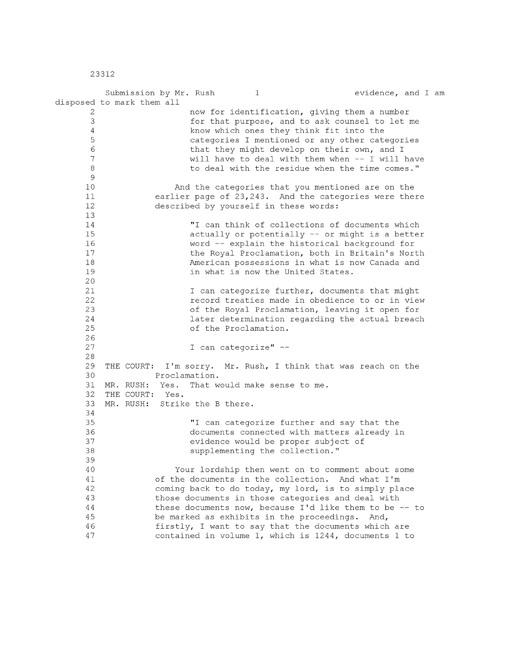|                                                             | Submission by Mr. Rush    |                      | $\mathbf{1}$                              | evidence, and I am                                                                                                                                                                                                                                                                                   |
|-------------------------------------------------------------|---------------------------|----------------------|-------------------------------------------|------------------------------------------------------------------------------------------------------------------------------------------------------------------------------------------------------------------------------------------------------------------------------------------------------|
|                                                             | disposed to mark them all |                      |                                           |                                                                                                                                                                                                                                                                                                      |
| 2<br>3<br>4<br>$\overline{5}$<br>$\epsilon$<br>7<br>$\,8\,$ |                           |                      | know which ones they think fit into the   | now for identification, giving them a number<br>for that purpose, and to ask counsel to let me<br>categories I mentioned or any other categories<br>that they might develop on their own, and I<br>will have to deal with them when -- I will have<br>to deal with the residue when the time comes." |
| $\mathsf{S}\xspace$<br>10                                   |                           |                      |                                           |                                                                                                                                                                                                                                                                                                      |
| 11                                                          |                           |                      |                                           | And the categories that you mentioned are on the<br>earlier page of 23,243. And the categories were there                                                                                                                                                                                            |
| 12                                                          |                           |                      | described by yourself in these words:     |                                                                                                                                                                                                                                                                                                      |
| 13                                                          |                           |                      |                                           |                                                                                                                                                                                                                                                                                                      |
| 14                                                          |                           |                      |                                           | "I can think of collections of documents which                                                                                                                                                                                                                                                       |
| 15                                                          |                           |                      |                                           | actually or potentially -- or might is a better                                                                                                                                                                                                                                                      |
| 16                                                          |                           |                      |                                           | word -- explain the historical background for                                                                                                                                                                                                                                                        |
| 17                                                          |                           |                      |                                           | the Royal Proclamation, both in Britain's North                                                                                                                                                                                                                                                      |
| 18                                                          |                           |                      |                                           | American possessions in what is now Canada and                                                                                                                                                                                                                                                       |
| 19                                                          |                           |                      | in what is now the United States.         |                                                                                                                                                                                                                                                                                                      |
| 20                                                          |                           |                      |                                           |                                                                                                                                                                                                                                                                                                      |
| 21<br>22                                                    |                           |                      |                                           | I can categorize further, documents that might<br>record treaties made in obedience to or in view                                                                                                                                                                                                    |
| 23                                                          |                           |                      |                                           | of the Royal Proclamation, leaving it open for                                                                                                                                                                                                                                                       |
| 24                                                          |                           |                      |                                           | later determination regarding the actual breach                                                                                                                                                                                                                                                      |
| 25                                                          |                           | of the Proclamation. |                                           |                                                                                                                                                                                                                                                                                                      |
| 26                                                          |                           |                      |                                           |                                                                                                                                                                                                                                                                                                      |
| 27                                                          |                           | I can categorize" -- |                                           |                                                                                                                                                                                                                                                                                                      |
| 28                                                          |                           |                      |                                           |                                                                                                                                                                                                                                                                                                      |
| 29                                                          | THE COURT:                |                      |                                           | I'm sorry. Mr. Rush, I think that was reach on the                                                                                                                                                                                                                                                   |
| 30                                                          | Proclamation.             |                      |                                           |                                                                                                                                                                                                                                                                                                      |
| 31                                                          | Yes.<br>MR. RUSH:         |                      | That would make sense to me.              |                                                                                                                                                                                                                                                                                                      |
| 32                                                          | THE COURT:<br>Yes.        |                      |                                           |                                                                                                                                                                                                                                                                                                      |
| 33<br>34                                                    | MR. RUSH:                 | Strike the B there.  |                                           |                                                                                                                                                                                                                                                                                                      |
| 35                                                          |                           |                      |                                           | "I can categorize further and say that the                                                                                                                                                                                                                                                           |
| 36                                                          |                           |                      |                                           | documents connected with matters already in                                                                                                                                                                                                                                                          |
| 37                                                          |                           |                      | evidence would be proper subject of       |                                                                                                                                                                                                                                                                                                      |
| 38                                                          |                           |                      | supplementing the collection."            |                                                                                                                                                                                                                                                                                                      |
| 39                                                          |                           |                      |                                           |                                                                                                                                                                                                                                                                                                      |
| 40                                                          |                           |                      |                                           | Your lordship then went on to comment about some                                                                                                                                                                                                                                                     |
| 41                                                          |                           |                      | of the documents in the collection.       | And what I'm                                                                                                                                                                                                                                                                                         |
| 42                                                          |                           |                      |                                           | coming back to do today, my lord, is to simply place                                                                                                                                                                                                                                                 |
| 43                                                          |                           |                      |                                           | those documents in those categories and deal with                                                                                                                                                                                                                                                    |
| 44                                                          |                           |                      |                                           | these documents now, because I'd like them to be -- to                                                                                                                                                                                                                                               |
| 45                                                          |                           |                      | be marked as exhibits in the proceedings. | And,                                                                                                                                                                                                                                                                                                 |
| 46                                                          |                           |                      |                                           | firstly, I want to say that the documents which are                                                                                                                                                                                                                                                  |
| 47                                                          |                           |                      |                                           | contained in volume 1, which is 1244, documents 1 to                                                                                                                                                                                                                                                 |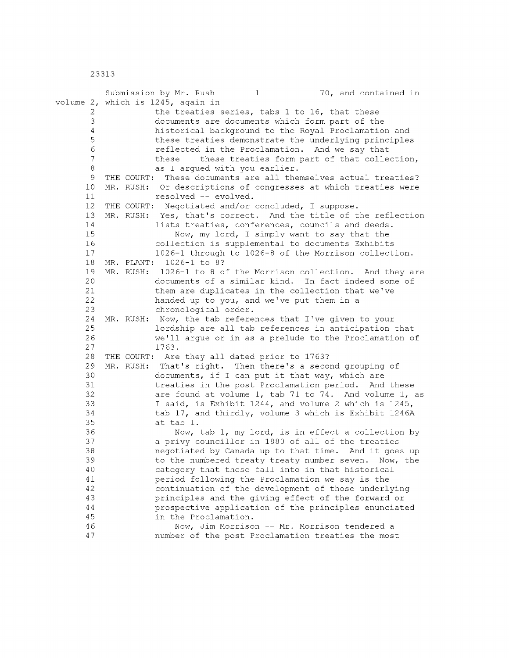Submission by Mr. Rush 1 70, and contained in volume 2, which is 1245, again in 2 the treaties series, tabs 1 to 16, that these 3 documents are documents which form part of the 4 historical background to the Royal Proclamation and 5 these treaties demonstrate the underlying principles 6 reflected in the Proclamation. And we say that 7 these -- these treaties form part of that collection, 8 as I argued with you earlier. 9 THE COURT: These documents are all themselves actual treaties? 10 MR. RUSH: Or descriptions of congresses at which treaties were 11 resolved -- evolved. 12 THE COURT: Negotiated and/or concluded, I suppose. 13 MR. RUSH: Yes, that's correct. And the title of the reflection 14 lists treaties, conferences, councils and deeds. 15 Now, my lord, I simply want to say that the 16 collection is supplemental to documents Exhibits 17 1026-1 through to 1026-8 of the Morrison collection. 18 MR. PLANT: 1026-1 to 8? 19 MR. RUSH: 1026-1 to 8 of the Morrison collection. And they are 20 documents of a similar kind. In fact indeed some of 21 them are duplicates in the collection that we've 22 handed up to you, and we've put them in a 23 chronological order. 24 MR. RUSH: Now, the tab references that I've given to your 25 lordship are all tab references in anticipation that 26 we'll argue or in as a prelude to the Proclamation of 27 1763. 28 THE COURT: Are they all dated prior to 1763? 29 MR. RUSH: That's right. Then there's a second grouping of 30 documents, if I can put it that way, which are 31 treaties in the post Proclamation period. And these 32 are found at volume 1, tab 71 to 74. And volume 1, as 33 I said, is Exhibit 1244, and volume 2 which is 1245, 34 tab 17, and thirdly, volume 3 which is Exhibit 1246A 35 at tab 1. 36 Now, tab 1, my lord, is in effect a collection by 37 a privy councillor in 1880 of all of the treaties 38 negotiated by Canada up to that time. And it goes up 39 to the numbered treaty treaty number seven. Now, the 40 category that these fall into in that historical 41 period following the Proclamation we say is the 42 continuation of the development of those underlying 43 principles and the giving effect of the forward or 44 prospective application of the principles enunciated 45 in the Proclamation. 46 Now, Jim Morrison -- Mr. Morrison tendered a 47 number of the post Proclamation treaties the most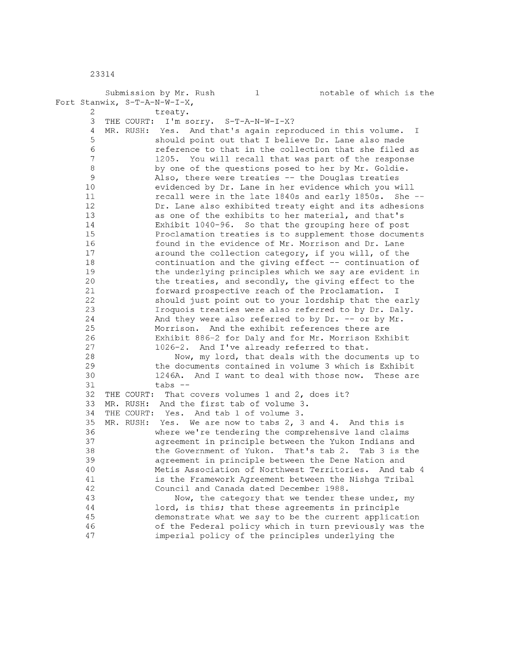Submission by Mr. Rush 1 1 1 1 notable of which is the Fort Stanwix, S-T-A-N-W-I-X, 2 treaty. 3 THE COURT: I'm sorry. S-T-A-N-W-I-X? 4 MR. RUSH: Yes. And that's again reproduced in this volume. I 5 should point out that I believe Dr. Lane also made 6 reference to that in the collection that she filed as 7 1205. You will recall that was part of the response 8 by one of the questions posed to her by Mr. Goldie. 9 Also, there were treaties -- the Douglas treaties 10 evidenced by Dr. Lane in her evidence which you will 11 recall were in the late 1840s and early 1850s. She -- 12 Dr. Lane also exhibited treaty eight and its adhesions 13 as one of the exhibits to her material, and that's 14 Exhibit 1040-96. So that the grouping here of post 15 Proclamation treaties is to supplement those documents 16 found in the evidence of Mr. Morrison and Dr. Lane 17 around the collection category, if you will, of the 18 continuation and the giving effect -- continuation of 19 the underlying principles which we say are evident in 20 the treaties, and secondly, the giving effect to the 21 forward prospective reach of the Proclamation. I 22 should just point out to your lordship that the early 23 Iroquois treaties were also referred to by Dr. Daly. 24 And they were also referred to by Dr. -- or by Mr. 25 Morrison. And the exhibit references there are 26 Exhibit 886-2 for Daly and for Mr. Morrison Exhibit 27 1026-2. And I've already referred to that. 28 Now, my lord, that deals with the documents up to 2 9 the documents contained in volume 3 which is Exhibit 30 1246A. And I want to deal with those now. These are 31 tabs -- 32 THE COURT: That covers volumes 1 and 2, does it? 33 MR. RUSH: And the first tab of volume 3. 34 THE COURT: Yes. And tab 1 of volume 3. 35 MR. RUSH: Yes. We are now to tabs 2, 3 and 4. And this is 36 where we're tendering the comprehensive land claims 37 agreement in principle between the Yukon Indians and 38 the Government of Yukon. That's tab 2. Tab 3 is the 39 agreement in principle between the Dene Nation and 40 Metis Association of Northwest Territories. And tab 4 41 is the Framework Agreement between the Nishga Tribal 42 Council and Canada dated December 1988. 43 Now, the category that we tender these under, my 44 lord, is this; that these agreements in principle 45 demonstrate what we say to be the current application 46 of the Federal policy which in turn previously was the 47 imperial policy of the principles underlying the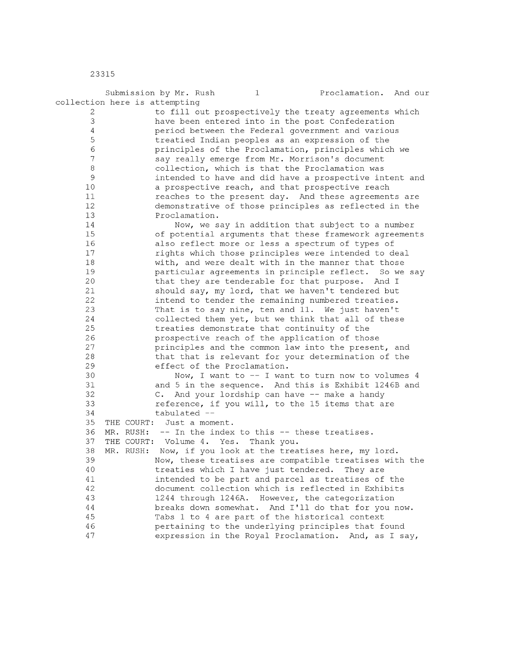|                     |           | Submission by Mr. Rush               | $\mathbf{1}$                | Proclamation. And our                                      |           |
|---------------------|-----------|--------------------------------------|-----------------------------|------------------------------------------------------------|-----------|
|                     |           | collection here is attempting        |                             |                                                            |           |
| 2                   |           |                                      |                             | to fill out prospectively the treaty agreements which      |           |
| 3                   |           |                                      |                             | have been entered into in the post Confederation           |           |
| 4                   |           |                                      |                             | period between the Federal government and various          |           |
| $\mathbb S$         |           |                                      |                             | treatied Indian peoples as an expression of the            |           |
| $\epsilon$          |           |                                      |                             | principles of the Proclamation, principles which we        |           |
| $\overline{7}$      |           |                                      |                             | say really emerge from Mr. Morrison's document             |           |
| $\,8\,$             |           |                                      |                             | collection, which is that the Proclamation was             |           |
| $\mathsf{S}\xspace$ |           |                                      |                             | intended to have and did have a prospective intent and     |           |
| 10                  |           |                                      |                             | a prospective reach, and that prospective reach            |           |
| 11                  |           |                                      |                             | reaches to the present day. And these agreements are       |           |
| 12                  |           |                                      |                             | demonstrative of those principles as reflected in the      |           |
| 13                  |           | Proclamation.                        |                             |                                                            |           |
| 14                  |           |                                      |                             | Now, we say in addition that subject to a number           |           |
| 15                  |           |                                      |                             | of potential arguments that these framework agreements     |           |
| 16                  |           |                                      |                             | also reflect more or less a spectrum of types of           |           |
| 17                  |           |                                      |                             | rights which those principles were intended to deal        |           |
| 18                  |           |                                      |                             | with, and were dealt with in the manner that those         |           |
| 19                  |           |                                      |                             | particular agreements in principle reflect.                | So we say |
| 20                  |           |                                      |                             | that they are tenderable for that purpose. And I           |           |
| 21                  |           |                                      |                             | should say, my lord, that we haven't tendered but          |           |
| 22                  |           |                                      |                             | intend to tender the remaining numbered treaties.          |           |
| 23                  |           |                                      |                             | That is to say nine, ten and 11. We just haven't           |           |
| 24                  |           |                                      |                             | collected them yet, but we think that all of these         |           |
| 25                  |           |                                      |                             | treaties demonstrate that continuity of the                |           |
| 26                  |           |                                      |                             | prospective reach of the application of those              |           |
| 27                  |           |                                      |                             | principles and the common law into the present, and        |           |
| 28                  |           |                                      |                             | that that is relevant for your determination of the        |           |
| 29                  |           |                                      | effect of the Proclamation. |                                                            |           |
| 30                  |           |                                      |                             | Now, I want to -- I want to turn now to volumes 4          |           |
| 31                  |           |                                      |                             | and 5 in the sequence. And this is Exhibit 1246B and       |           |
| 32                  |           |                                      |                             | C. And your lordship can have -- make a handy              |           |
| 33                  |           |                                      |                             | reference, if you will, to the 15 items that are           |           |
| 34                  |           | tabulated --                         |                             |                                                            |           |
| 35                  |           | THE COURT: Just a moment.            |                             |                                                            |           |
| 36                  | MR. RUSH: |                                      |                             | -- In the index to this -- these treatises.                |           |
| 37                  |           | THE COURT: Volume 4. Yes. Thank you. |                             |                                                            |           |
|                     |           |                                      |                             | MR. RUSH: Now, if you look at the treatises here, my lord. |           |
| 38<br>39            |           |                                      |                             |                                                            |           |
|                     |           |                                      |                             | Now, these treatises are compatible treatises with the     |           |
| 40                  |           |                                      |                             | treaties which I have just tendered. They are              |           |
| 41                  |           |                                      |                             | intended to be part and parcel as treatises of the         |           |
| 42                  |           |                                      |                             | document collection which is reflected in Exhibits         |           |
| 43                  |           |                                      |                             | 1244 through 1246A. However, the categorization            |           |
| 44                  |           |                                      |                             | breaks down somewhat. And I'll do that for you now.        |           |
| 45                  |           |                                      |                             | Tabs 1 to 4 are part of the historical context             |           |

45 Tabs 1 to 4 are part of the historical context<br>46 **Fabrical pertaining to the underlying principles that fo** 46 pertaining to the underlying principles that found 47 expression in the Royal Proclamation. And, as I say,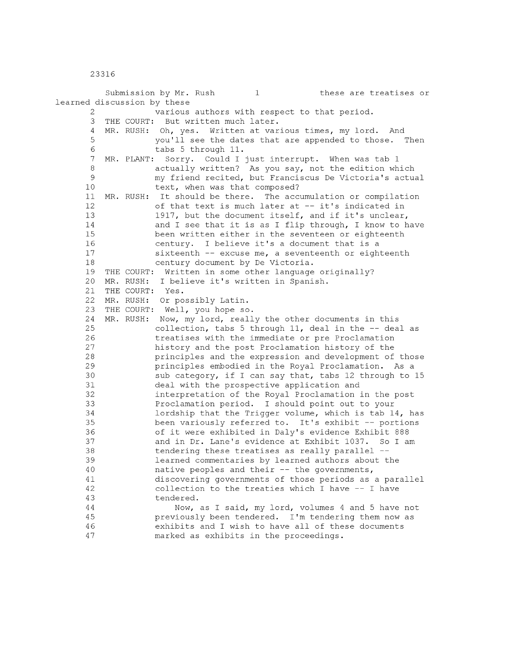Submission by Mr. Rush 1 these are treatises or learned discussion by these 2 various authors with respect to that period. 3 THE COURT: But written much later. 4 MR. RUSH: Oh, yes. Written at various times, my lord. And 5 you'll see the dates that are appended to those. Then 6 tabs 5 through 11. 7 MR. PLANT: Sorry. Could I just interrupt. When was tab 1 8 **8 actually written?** As you say, not the edition which 9 my friend recited, but Franciscus De Victoria's actual 10 text, when was that composed? 11 MR. RUSH: It should be there. The accumulation or compilation 12 of that text is much later at -- it's indicated in 13 1917, but the document itself, and if it's unclear, 14 and I see that it is as I flip through, I know to have 15 been written either in the seventeen or eighteenth 16 century. I believe it's a document that is a 17 sixteenth -- excuse me, a seventeenth or eighteenth 18 century document by De Victoria. 19 THE COURT: Written in some other language originally? 20 MR. RUSH: I believe it's written in Spanish. 21 THE COURT: Yes. 22 MR. RUSH: Or possibly Latin. 23 THE COURT: Well, you hope so. 24 MR. RUSH: Now, my lord, really the other documents in this 25 collection, tabs 5 through 11, deal in the -- deal as 26 treatises with the immediate or pre Proclamation 27 history and the post Proclamation history of the 28 principles and the expression and development of those 29 principles embodied in the Royal Proclamation. As a 30 sub category, if I can say that, tabs 12 through to 15 31 deal with the prospective application and 32 interpretation of the Royal Proclamation in the post 33 Proclamation period. I should point out to your 34 lordship that the Trigger volume, which is tab 14, has 35 been variously referred to. It's exhibit -- portions 36 of it were exhibited in Daly's evidence Exhibit 888 37 and in Dr. Lane's evidence at Exhibit 1037. So I am 38 tendering these treatises as really parallel -- 39 learned commentaries by learned authors about the 40 native peoples and their -- the governments, 41 discovering governments of those periods as a parallel 42 collection to the treaties which I have -- I have 43 tendered.

44 Now, as I said, my lord, volumes 4 and 5 have not 45 previously been tendered. I'm tendering them now as 46 exhibits and I wish to have all of these documents 47 marked as exhibits in the proceedings.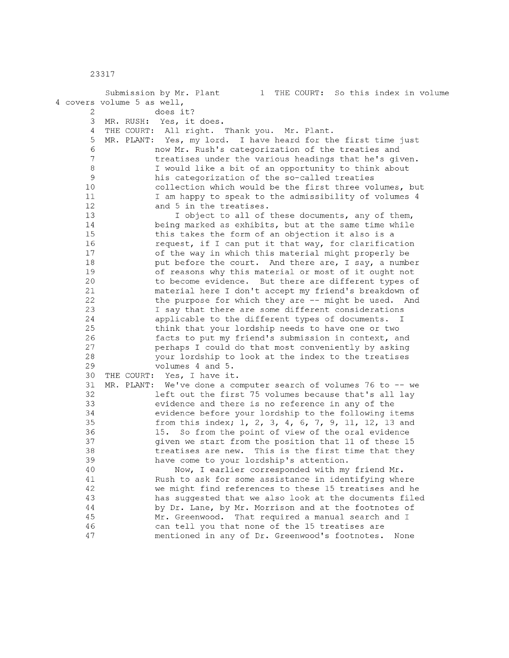|          |                            | Submission by Mr. Plant 1 THE COURT: So this index in volume                                                           |
|----------|----------------------------|------------------------------------------------------------------------------------------------------------------------|
|          | 4 covers volume 5 as well, |                                                                                                                        |
| 2        |                            | does it?                                                                                                               |
| 3        |                            | MR. RUSH: Yes, it does.                                                                                                |
| 4        |                            | THE COURT: All right. Thank you. Mr. Plant.                                                                            |
| 5        |                            | MR. PLANT: Yes, my lord. I have heard for the first time just                                                          |
| 6        |                            | now Mr. Rush's categorization of the treaties and                                                                      |
| 7        |                            | treatises under the various headings that he's given.                                                                  |
| 8        |                            | I would like a bit of an opportunity to think about                                                                    |
| 9        |                            | his categorization of the so-called treaties                                                                           |
| 10<br>11 |                            | collection which would be the first three volumes, but<br>I am happy to speak to the admissibility of volumes 4        |
| 12       |                            | and 5 in the treatises.                                                                                                |
| 13       |                            | I object to all of these documents, any of them,                                                                       |
| 14       |                            | being marked as exhibits, but at the same time while                                                                   |
| 15       |                            | this takes the form of an objection it also is a                                                                       |
| 16       |                            | request, if I can put it that way, for clarification                                                                   |
| 17       |                            | of the way in which this material might properly be                                                                    |
| 18       |                            | put before the court. And there are, I say, a number                                                                   |
| 19       |                            | of reasons why this material or most of it ought not                                                                   |
| 20       |                            | to become evidence. But there are different types of                                                                   |
| 21       |                            | material here I don't accept my friend's breakdown of                                                                  |
| 22       |                            | the purpose for which they are -- might be used. And                                                                   |
| 23       |                            | I say that there are some different considerations                                                                     |
| 24       |                            | applicable to the different types of documents. I                                                                      |
| 25       |                            | think that your lordship needs to have one or two                                                                      |
| 26       |                            | facts to put my friend's submission in context, and                                                                    |
| 27       |                            | perhaps I could do that most conveniently by asking                                                                    |
| 28       |                            | your lordship to look at the index to the treatises                                                                    |
| 29       |                            | volumes 4 and 5.                                                                                                       |
| 30       |                            | THE COURT: Yes, I have it.                                                                                             |
| 31<br>32 |                            | MR. PLANT: We've done a computer search of volumes 76 to -- we<br>left out the first 75 volumes because that's all lay |
| 33       |                            | evidence and there is no reference in any of the                                                                       |
| 34       |                            | evidence before your lordship to the following items                                                                   |
| 35       |                            | from this index; 1, 2, 3, 4, 6, 7, 9, 11, 12, 13 and                                                                   |
| 36       |                            | So from the point of view of the oral evidence<br>15.                                                                  |
| 37       |                            | given we start from the position that 11 of these 15                                                                   |
| 38       |                            | treatises are new. This is the first time that they                                                                    |
| 39       |                            | have come to your lordship's attention.                                                                                |
| 40       |                            | Now, I earlier corresponded with my friend Mr.                                                                         |
| 41       |                            | Rush to ask for some assistance in identifying where                                                                   |
| 42       |                            | we might find references to these 15 treatises and he                                                                  |
| 43       |                            | has suggested that we also look at the documents filed                                                                 |
| 44       |                            | by Dr. Lane, by Mr. Morrison and at the footnotes of                                                                   |
| 45       |                            | Mr. Greenwood.<br>That required a manual search and I                                                                  |
| 46       |                            | can tell you that none of the 15 treatises are                                                                         |
| 47       |                            | mentioned in any of Dr. Greenwood's footnotes.<br>None                                                                 |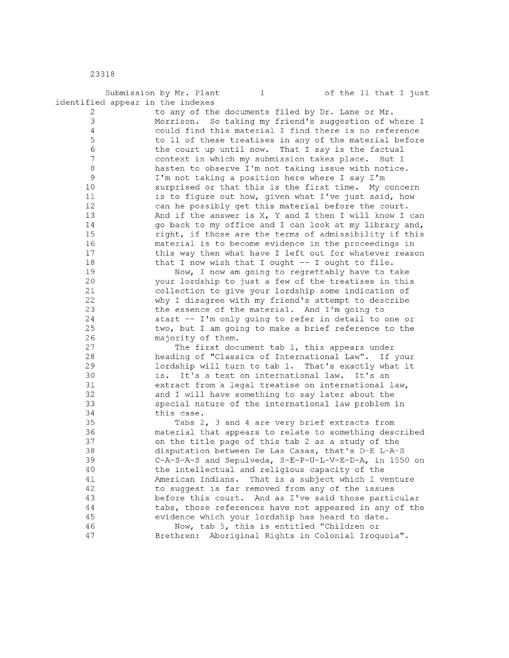Submission by Mr. Plant 1 1 of the 11 that I just identified appear in the indexes 2 to any of the documents filed by Dr. Lane or Mr. 3 Morrison. So taking my friend's suggestion of where I 4 could find this material I find there is no reference 5 to 11 of these treatises in any of the material before 6 the court up until now. That I say is the factual 7 context in which my submission takes place. But I 8 hasten to observe I'm not taking issue with notice. 9 I'm not taking a position here where I say I'm 10 surprised or that this is the first time. My concern 11 is to figure out how, given what I've just said, how 12 can he possibly get this material before the court. 13 And if the answer is X, Y and Z then I will know I can 14 go back to my office and I can look at my library and, 15 **right, if those are the terms of admissibility if this** 16 material is to become evidence in the proceedings in 17 this way then what have I left out for whatever reason 18 that I now wish that I ought -- I ought to file. 19 Now, I now am going to regrettably have to take 20 your lordship to just a few of the treatises in this 21 collection to give your lordship some indication of 22 why I disagree with my friend's attempt to describe 23 the essence of the material. And I'm going to 24 start -- I'm only going to refer in detail to one or 25 two, but I am going to make a brief reference to the 26 majority of them. 27 The first document tab 1, this appears under 28 heading of "Classics of International Law". If your 29 lordship will turn to tab 1. That's exactly what it 30 is. It's a text on international law. It's an 31 extract from a legal treatise on international law, 32 and I will have something to say later about the 33 special nature of the international law problem in 34 this case. 35 Tabs 2, 3 and 4 are very brief extracts from 36 material that appears to relate to something described 37 on the title page of this tab 2 as a study of the 38 disputation between De Las Casas, that's D-E L-A-S 39 C-A-S-A-S and Sepulveda, S-E-P-U-L-V-E-D-A, in 1550 on 40 the intellectual and religious capacity of the 41 American Indians. That is a subject which I venture 42 to suggest is far removed from any of the issues 43 before this court. And as I've said those particular 44 tabs, those references have not appeared in any of the 45 evidence which your lordship has heard to date.

46 Now, tab 5, this is entitled "Children or

47 Brethren: Aboriginal Rights in Colonial Iroquoia".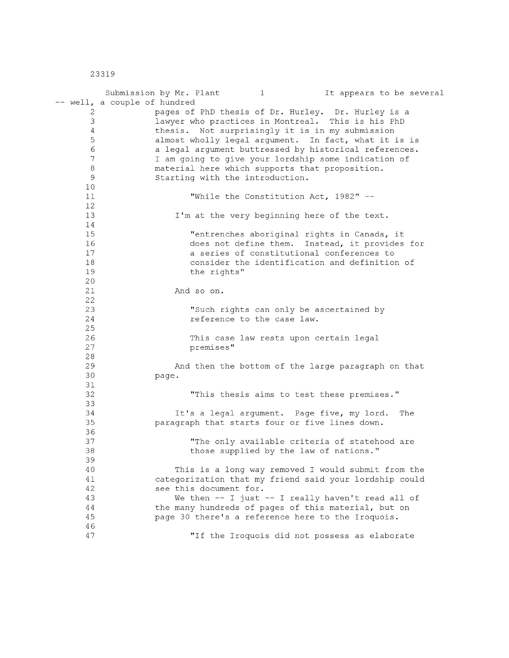|                | Submission by Mr. Plant<br>It appears to be several    |
|----------------|--------------------------------------------------------|
|                | -- well, a couple of hundred                           |
| 2              | pages of PhD thesis of Dr. Hurley. Dr. Hurley is a     |
| 3              | lawyer who practices in Montreal. This is his PhD      |
| $\overline{4}$ | thesis. Not surprisingly it is in my submission        |
| 5              | almost wholly legal argument. In fact, what it is is   |
| 6              | a legal argument buttressed by historical references.  |
| 7              | I am going to give your lordship some indication of    |
| 8              | material here which supports that proposition.         |
| 9              | Starting with the introduction.                        |
| 10             |                                                        |
| 11             | "While the Constitution Act, 1982" --                  |
| 12             |                                                        |
| 13             | I'm at the very beginning here of the text.            |
| 14             |                                                        |
| 15             | "entrenches aboriginal rights in Canada, it            |
| 16             | does not define them. Instead, it provides for         |
| 17             | a series of constitutional conferences to              |
| 18             | consider the identification and definition of          |
| 19             | the rights"                                            |
| 20<br>21       |                                                        |
| 22             | And so on.                                             |
| 23             | "Such rights can only be ascertained by                |
| 24             | reference to the case law.                             |
| 25             |                                                        |
| 26             | This case law rests upon certain legal                 |
| 27             | premises"                                              |
| 28             |                                                        |
| 29             | And then the bottom of the large paragraph on that     |
| 30             | page.                                                  |
| 31             |                                                        |
| 32             | "This thesis aims to test these premises."             |
| 33             |                                                        |
| 34             | It's a legal argument. Page five, my lord.<br>The      |
| 35             | paragraph that starts four or five lines down.         |
| 36             |                                                        |
| 37             | "The only available criteria of statehood are          |
| 38             | those supplied by the law of nations."                 |
| 39             |                                                        |
| 40             | This is a long way removed I would submit from the     |
| 41             | categorization that my friend said your lordship could |
| 42             | see this document for.                                 |
| 43             | We then -- I just -- I really haven't read all of      |
| 44             | the many hundreds of pages of this material, but on    |
| 45             | page 30 there's a reference here to the Iroquois.      |
| 46             |                                                        |
| 47             | "If the Iroquois did not possess as elaborate          |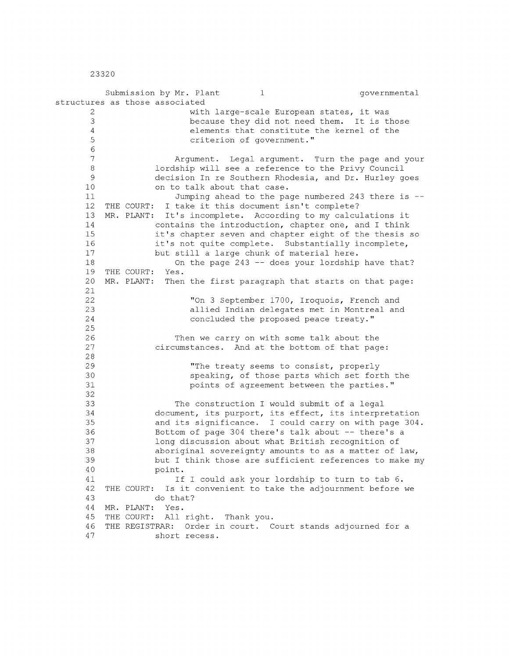|                     | Submission by Mr. Plant                   | $\mathbf{1}$                            | governmental                                                |
|---------------------|-------------------------------------------|-----------------------------------------|-------------------------------------------------------------|
|                     | structures as those associated            |                                         |                                                             |
| 2                   |                                           |                                         | with large-scale European states, it was                    |
| 3                   |                                           |                                         | because they did not need them. It is those                 |
| 4                   |                                           |                                         | elements that constitute the kernel of the                  |
| 5                   |                                           | criterion of government."               |                                                             |
| $\epsilon$          |                                           |                                         |                                                             |
| $\overline{7}$      |                                           |                                         | Argument. Legal argument. Turn the page and your            |
| $\,8\,$             |                                           |                                         | lordship will see a reference to the Privy Council          |
| $\mathsf{S}\xspace$ |                                           |                                         | decision In re Southern Rhodesia, and Dr. Hurley goes       |
| 10                  | on to talk about that case.               |                                         |                                                             |
| 11                  |                                           |                                         | Jumping ahead to the page numbered 243 there is --          |
| 12                  | THE COURT:                                | I take it this document isn't complete? |                                                             |
| 13                  | MR. PLANT:                                |                                         | It's incomplete. According to my calculations it            |
| 14                  |                                           |                                         | contains the introduction, chapter one, and I think         |
| 15                  |                                           |                                         | it's chapter seven and chapter eight of the thesis so       |
| 16                  |                                           |                                         | it's not quite complete. Substantially incomplete,          |
| 17                  | but still a large chunk of material here. |                                         |                                                             |
| 18                  |                                           |                                         | On the page 243 -- does your lordship have that?            |
| 19                  | Yes.<br>THE COURT:                        |                                         |                                                             |
| 20                  | MR. PLANT:                                |                                         | Then the first paragraph that starts on that page:          |
| 21                  |                                           |                                         |                                                             |
| 22                  |                                           |                                         | "On 3 September 1700, Iroquois, French and                  |
| 23                  |                                           |                                         | allied Indian delegates met in Montreal and                 |
| 24                  |                                           |                                         | concluded the proposed peace treaty."                       |
| 25                  |                                           |                                         |                                                             |
| 26                  |                                           |                                         | Then we carry on with some talk about the                   |
| 27                  |                                           |                                         | circumstances. And at the bottom of that page:              |
| 28                  |                                           |                                         |                                                             |
| 29                  |                                           |                                         | "The treaty seems to consist, properly                      |
| 30                  |                                           |                                         | speaking, of those parts which set forth the                |
| 31                  |                                           |                                         | points of agreement between the parties."                   |
| 32                  |                                           |                                         |                                                             |
| 33                  |                                           |                                         | The construction I would submit of a legal                  |
| 34                  |                                           |                                         | document, its purport, its effect, its interpretation       |
| 35                  |                                           |                                         | and its significance. I could carry on with page 304.       |
| 36                  |                                           |                                         | Bottom of page 304 there's talk about -- there's a          |
| 37                  |                                           |                                         | long discussion about what British recognition of           |
| 38                  |                                           |                                         | aboriginal sovereignty amounts to as a matter of law,       |
| 39                  |                                           |                                         | but I think those are sufficient references to make my      |
| 40                  | point.                                    |                                         |                                                             |
| 41                  |                                           |                                         | If I could ask your lordship to turn to tab 6.              |
| 42                  | THE COURT:                                |                                         | Is it convenient to take the adjournment before we          |
| 43                  | do that?                                  |                                         |                                                             |
| 44                  | MR. PLANT:<br>Yes.                        |                                         |                                                             |
| 45                  | All right. Thank you.<br>THE COURT:       |                                         |                                                             |
| 46                  |                                           |                                         | THE REGISTRAR: Order in court. Court stands adjourned for a |
| 47                  | short recess.                             |                                         |                                                             |